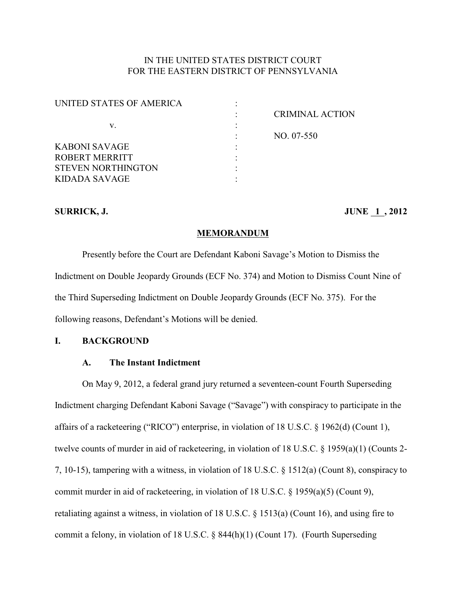# IN THE UNITED STATES DISTRICT COURT FOR THE EASTERN DISTRICT OF PENNSYLVANIA

| UNITED STATES OF AMERICA  |                        |
|---------------------------|------------------------|
|                           | <b>CRIMINAL ACTION</b> |
| v.                        |                        |
|                           | NO. 07-550             |
| <b>KABONI SAVAGE</b>      |                        |
| ROBERT MERRITT            |                        |
| <b>STEVEN NORTHINGTON</b> |                        |
| <b>KIDADA SAVAGE</b>      |                        |
|                           |                        |

## **SURRICK, J. JUNE 1, 2012**

### **MEMORANDUM**

Presently before the Court are Defendant Kaboni Savage's Motion to Dismiss the Indictment on Double Jeopardy Grounds (ECF No. 374) and Motion to Dismiss Count Nine of the Third Superseding Indictment on Double Jeopardy Grounds (ECF No. 375). For the following reasons, Defendant's Motions will be denied.

# **I. BACKGROUND**

### **A. The Instant Indictment**

On May 9, 2012, a federal grand jury returned a seventeen-count Fourth Superseding Indictment charging Defendant Kaboni Savage ("Savage") with conspiracy to participate in the affairs of a racketeering ("RICO") enterprise, in violation of 18 U.S.C. § 1962(d) (Count 1), twelve counts of murder in aid of racketeering, in violation of 18 U.S.C. § 1959(a)(1) (Counts 2- 7, 10-15), tampering with a witness, in violation of 18 U.S.C. § 1512(a) (Count 8), conspiracy to commit murder in aid of racketeering, in violation of 18 U.S.C. § 1959(a)(5) (Count 9), retaliating against a witness, in violation of 18 U.S.C. § 1513(a) (Count 16), and using fire to commit a felony, in violation of 18 U.S.C. § 844(h)(1) (Count 17). (Fourth Superseding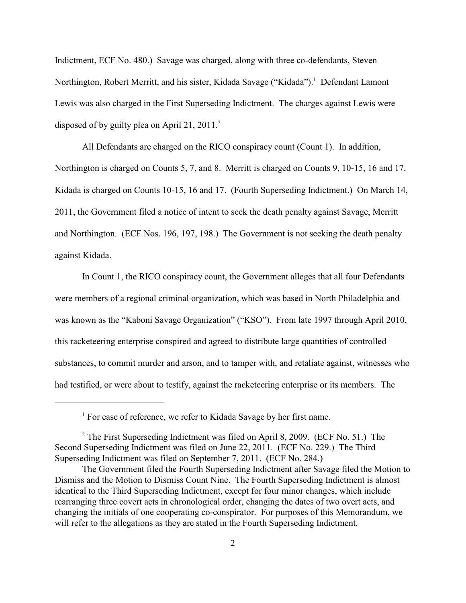Indictment, ECF No. 480.) Savage was charged, along with three co-defendants, Steven Northington, Robert Merritt, and his sister, Kidada Savage ("Kidada").<sup>1</sup> Defendant Lamont Lewis was also charged in the First Superseding Indictment. The charges against Lewis were disposed of by guilty plea on April 21,  $2011<sup>2</sup>$ 

All Defendants are charged on the RICO conspiracy count (Count 1). In addition, Northington is charged on Counts 5, 7, and 8. Merritt is charged on Counts 9, 10-15, 16 and 17. Kidada is charged on Counts 10-15, 16 and 17. (Fourth Superseding Indictment.) On March 14, 2011, the Government filed a notice of intent to seek the death penalty against Savage, Merritt and Northington. (ECF Nos. 196, 197, 198.) The Government is not seeking the death penalty against Kidada.

In Count 1, the RICO conspiracy count, the Government alleges that all four Defendants were members of a regional criminal organization, which was based in North Philadelphia and was known as the "Kaboni Savage Organization" ("KSO"). From late 1997 through April 2010, this racketeering enterprise conspired and agreed to distribute large quantities of controlled substances, to commit murder and arson, and to tamper with, and retaliate against, witnesses who had testified, or were about to testify, against the racketeering enterprise or its members. The

 $<sup>1</sup>$  For ease of reference, we refer to Kidada Savage by her first name.</sup>

 $2$  The First Superseding Indictment was filed on April 8, 2009. (ECF No. 51.) The Second Superseding Indictment was filed on June 22, 2011. (ECF No. 229.) The Third Superseding Indictment was filed on September 7, 2011. (ECF No. 284.)

The Government filed the Fourth Superseding Indictment after Savage filed the Motion to Dismiss and the Motion to Dismiss Count Nine. The Fourth Superseding Indictment is almost identical to the Third Superseding Indictment, except for four minor changes, which include rearranging three covert acts in chronological order, changing the dates of two overt acts, and changing the initials of one cooperating co-conspirator. For purposes of this Memorandum, we will refer to the allegations as they are stated in the Fourth Superseding Indictment.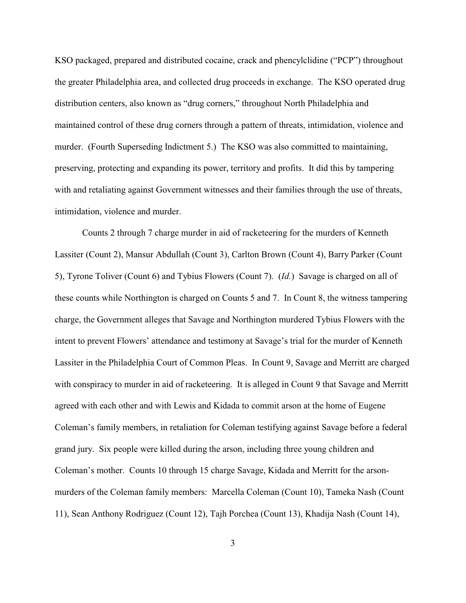KSO packaged, prepared and distributed cocaine, crack and phencylclidine ("PCP") throughout the greater Philadelphia area, and collected drug proceeds in exchange. The KSO operated drug distribution centers, also known as "drug corners," throughout North Philadelphia and maintained control of these drug corners through a pattern of threats, intimidation, violence and murder. (Fourth Superseding Indictment 5.) The KSO was also committed to maintaining, preserving, protecting and expanding its power, territory and profits. It did this by tampering with and retaliating against Government witnesses and their families through the use of threats, intimidation, violence and murder.

Counts 2 through 7 charge murder in aid of racketeering for the murders of Kenneth Lassiter (Count 2), Mansur Abdullah (Count 3), Carlton Brown (Count 4), Barry Parker (Count 5), Tyrone Toliver (Count 6) and Tybius Flowers (Count 7). (*Id.*) Savage is charged on all of these counts while Northington is charged on Counts 5 and 7. In Count 8, the witness tampering charge, the Government alleges that Savage and Northington murdered Tybius Flowers with the intent to prevent Flowers' attendance and testimony at Savage's trial for the murder of Kenneth Lassiter in the Philadelphia Court of Common Pleas. In Count 9, Savage and Merritt are charged with conspiracy to murder in aid of racketeering. It is alleged in Count 9 that Savage and Merritt agreed with each other and with Lewis and Kidada to commit arson at the home of Eugene Coleman's family members, in retaliation for Coleman testifying against Savage before a federal grand jury. Six people were killed during the arson, including three young children and Coleman's mother. Counts 10 through 15 charge Savage, Kidada and Merritt for the arsonmurders of the Coleman family members: Marcella Coleman (Count 10), Tameka Nash (Count 11), Sean Anthony Rodriguez (Count 12), Tajh Porchea (Count 13), Khadija Nash (Count 14),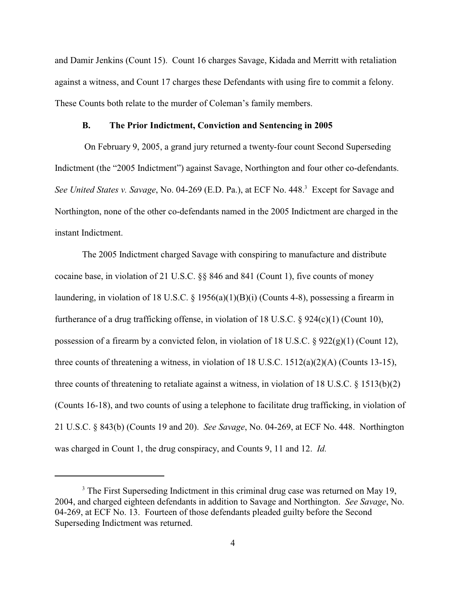and Damir Jenkins (Count 15). Count 16 charges Savage, Kidada and Merritt with retaliation against a witness, and Count 17 charges these Defendants with using fire to commit a felony. These Counts both relate to the murder of Coleman's family members.

## **B. The Prior Indictment, Conviction and Sentencing in 2005**

 On February 9, 2005, a grand jury returned a twenty-four count Second Superseding Indictment (the "2005 Indictment") against Savage, Northington and four other co-defendants. *See United States v. Savage*, No. 04-269 (E.D. Pa.), at ECF No. 448.<sup>3</sup> Except for Savage and Northington, none of the other co-defendants named in the 2005 Indictment are charged in the instant Indictment.

The 2005 Indictment charged Savage with conspiring to manufacture and distribute cocaine base, in violation of 21 U.S.C. §§ 846 and 841 (Count 1), five counts of money laundering, in violation of 18 U.S.C. § 1956(a)(1)(B)(i) (Counts 4-8), possessing a firearm in furtherance of a drug trafficking offense, in violation of 18 U.S.C. § 924(c)(1) (Count 10), possession of a firearm by a convicted felon, in violation of 18 U.S.C. § 922(g)(1) (Count 12), three counts of threatening a witness, in violation of 18 U.S.C. 1512(a)(2)(A) (Counts 13-15), three counts of threatening to retaliate against a witness, in violation of 18 U.S.C. § 1513(b)(2) (Counts 16-18), and two counts of using a telephone to facilitate drug trafficking, in violation of 21 U.S.C. § 843(b) (Counts 19 and 20). *See Savage*, No. 04-269, at ECF No. 448. Northington was charged in Count 1, the drug conspiracy, and Counts 9, 11 and 12. *Id.*

<sup>&</sup>lt;sup>3</sup> The First Superseding Indictment in this criminal drug case was returned on May 19, 2004, and charged eighteen defendants in addition to Savage and Northington. *See Savage*, No. 04-269, at ECF No. 13. Fourteen of those defendants pleaded guilty before the Second Superseding Indictment was returned.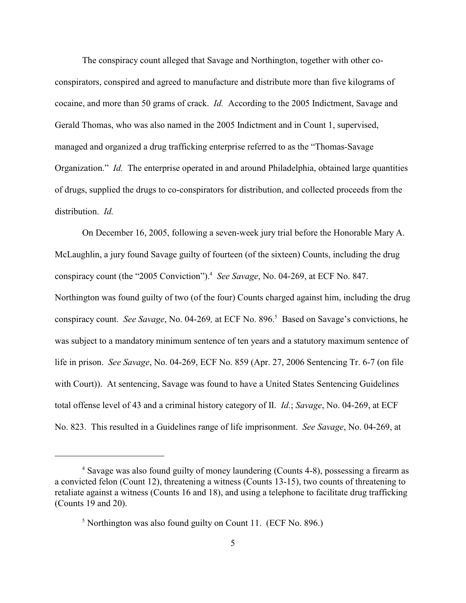The conspiracy count alleged that Savage and Northington, together with other coconspirators, conspired and agreed to manufacture and distribute more than five kilograms of cocaine, and more than 50 grams of crack. *Id.* According to the 2005 Indictment, Savage and Gerald Thomas, who was also named in the 2005 Indictment and in Count 1, supervised, managed and organized a drug trafficking enterprise referred to as the "Thomas-Savage Organization." *Id.* The enterprise operated in and around Philadelphia, obtained large quantities of drugs, supplied the drugs to co-conspirators for distribution, and collected proceeds from the distribution. *Id.*

On December 16, 2005, following a seven-week jury trial before the Honorable Mary A. McLaughlin, a jury found Savage guilty of fourteen (of the sixteen) Counts, including the drug conspiracy count (the "2005 Conviction").<sup>4</sup> See Savage, No. 04-269, at ECF No. 847. Northington was found guilty of two (of the four) Counts charged against him, including the drug conspiracy count. *See Savage*, No. 04-269, at ECF No. 896.<sup>5</sup> Based on Savage's convictions, he was subject to a mandatory minimum sentence of ten years and a statutory maximum sentence of life in prison. *See Savage*, No. 04-269, ECF No. 859 (Apr. 27, 2006 Sentencing Tr. 6-7 (on file with Court)). At sentencing, Savage was found to have a United States Sentencing Guidelines total offense level of 43 and a criminal history category of II. *Id.*; *Savage*, No. 04-269, at ECF No. 823. This resulted in a Guidelines range of life imprisonment. *See Savage*, No. 04-269, at

<sup>&</sup>lt;sup>4</sup> Savage was also found guilty of money laundering (Counts 4-8), possessing a firearm as a convicted felon (Count 12), threatening a witness (Counts 13-15), two counts of threatening to retaliate against a witness (Counts 16 and 18), and using a telephone to facilitate drug trafficking (Counts 19 and 20).

 $\frac{5}{1}$  Northington was also found guilty on Count 11. (ECF No. 896.)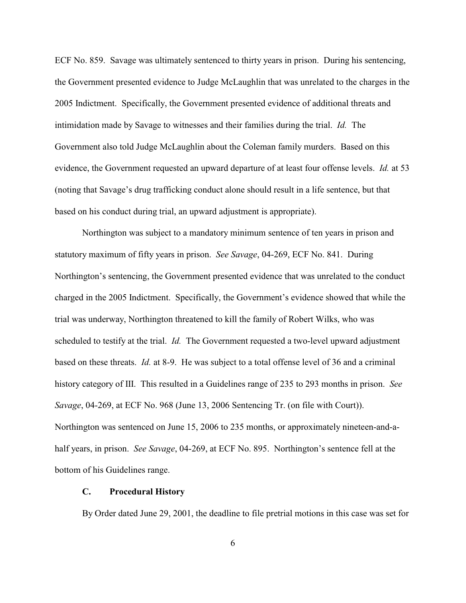ECF No. 859. Savage was ultimately sentenced to thirty years in prison. During his sentencing, the Government presented evidence to Judge McLaughlin that was unrelated to the charges in the 2005 Indictment. Specifically, the Government presented evidence of additional threats and intimidation made by Savage to witnesses and their families during the trial. *Id.* The Government also told Judge McLaughlin about the Coleman family murders. Based on this evidence, the Government requested an upward departure of at least four offense levels. *Id.* at 53 (noting that Savage's drug trafficking conduct alone should result in a life sentence, but that based on his conduct during trial, an upward adjustment is appropriate).

Northington was subject to a mandatory minimum sentence of ten years in prison and statutory maximum of fifty years in prison. *See Savage*, 04-269, ECF No. 841. During Northington's sentencing, the Government presented evidence that was unrelated to the conduct charged in the 2005 Indictment. Specifically, the Government's evidence showed that while the trial was underway, Northington threatened to kill the family of Robert Wilks, who was scheduled to testify at the trial. *Id.* The Government requested a two-level upward adjustment based on these threats. *Id.* at 8-9. He was subject to a total offense level of 36 and a criminal history category of III. This resulted in a Guidelines range of 235 to 293 months in prison. *See Savage*, 04-269, at ECF No. 968 (June 13, 2006 Sentencing Tr. (on file with Court)). Northington was sentenced on June 15, 2006 to 235 months, or approximately nineteen-and-ahalf years, in prison. *See Savage*, 04-269, at ECF No. 895. Northington's sentence fell at the bottom of his Guidelines range.

### **C. Procedural History**

By Order dated June 29, 2001, the deadline to file pretrial motions in this case was set for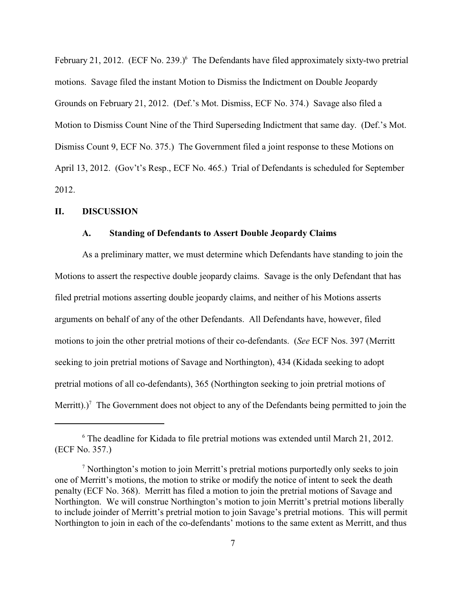February 21, 2012. (ECF No. 239.)<sup> $6$ </sup> The Defendants have filed approximately sixty-two pretrial motions. Savage filed the instant Motion to Dismiss the Indictment on Double Jeopardy Grounds on February 21, 2012. (Def.'s Mot. Dismiss, ECF No. 374.) Savage also filed a Motion to Dismiss Count Nine of the Third Superseding Indictment that same day. (Def.'s Mot. Dismiss Count 9, ECF No. 375.) The Government filed a joint response to these Motions on April 13, 2012. (Gov't's Resp., ECF No. 465.) Trial of Defendants is scheduled for September 2012.

### **II. DISCUSSION**

## **A. Standing of Defendants to Assert Double Jeopardy Claims**

As a preliminary matter, we must determine which Defendants have standing to join the Motions to assert the respective double jeopardy claims. Savage is the only Defendant that has filed pretrial motions asserting double jeopardy claims, and neither of his Motions asserts arguments on behalf of any of the other Defendants. All Defendants have, however, filed motions to join the other pretrial motions of their co-defendants. (*See* ECF Nos. 397 (Merritt seeking to join pretrial motions of Savage and Northington), 434 (Kidada seeking to adopt pretrial motions of all co-defendants), 365 (Northington seeking to join pretrial motions of Merritt).)<sup>7</sup> The Government does not object to any of the Defendants being permitted to join the

 $6$  The deadline for Kidada to file pretrial motions was extended until March 21, 2012. (ECF No. 357.)

<sup>&</sup>lt;sup>7</sup> Northington's motion to join Merritt's pretrial motions purportedly only seeks to join one of Merritt's motions, the motion to strike or modify the notice of intent to seek the death penalty (ECF No. 368). Merritt has filed a motion to join the pretrial motions of Savage and Northington. We will construe Northington's motion to join Merritt's pretrial motions liberally to include joinder of Merritt's pretrial motion to join Savage's pretrial motions. This will permit Northington to join in each of the co-defendants' motions to the same extent as Merritt, and thus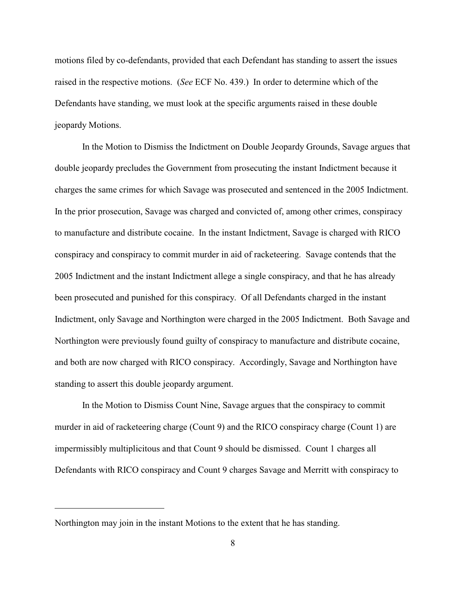motions filed by co-defendants, provided that each Defendant has standing to assert the issues raised in the respective motions. (*See* ECF No. 439.) In order to determine which of the Defendants have standing, we must look at the specific arguments raised in these double jeopardy Motions.

In the Motion to Dismiss the Indictment on Double Jeopardy Grounds, Savage argues that double jeopardy precludes the Government from prosecuting the instant Indictment because it charges the same crimes for which Savage was prosecuted and sentenced in the 2005 Indictment. In the prior prosecution, Savage was charged and convicted of, among other crimes, conspiracy to manufacture and distribute cocaine. In the instant Indictment, Savage is charged with RICO conspiracy and conspiracy to commit murder in aid of racketeering. Savage contends that the 2005 Indictment and the instant Indictment allege a single conspiracy, and that he has already been prosecuted and punished for this conspiracy. Of all Defendants charged in the instant Indictment, only Savage and Northington were charged in the 2005 Indictment. Both Savage and Northington were previously found guilty of conspiracy to manufacture and distribute cocaine, and both are now charged with RICO conspiracy. Accordingly, Savage and Northington have standing to assert this double jeopardy argument.

In the Motion to Dismiss Count Nine, Savage argues that the conspiracy to commit murder in aid of racketeering charge (Count 9) and the RICO conspiracy charge (Count 1) are impermissibly multiplicitous and that Count 9 should be dismissed. Count 1 charges all Defendants with RICO conspiracy and Count 9 charges Savage and Merritt with conspiracy to

Northington may join in the instant Motions to the extent that he has standing.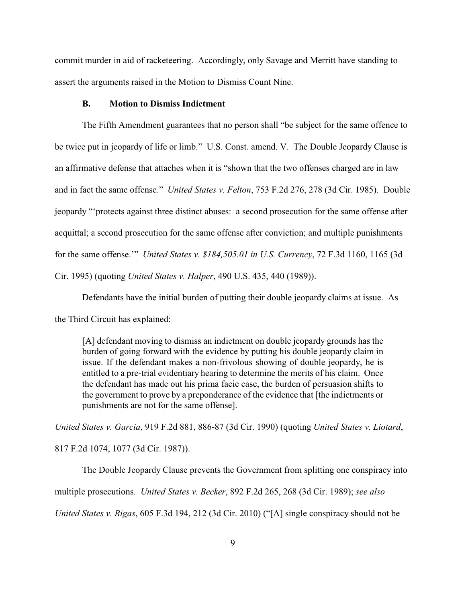commit murder in aid of racketeering. Accordingly, only Savage and Merritt have standing to assert the arguments raised in the Motion to Dismiss Count Nine.

### **B. Motion to Dismiss Indictment**

The Fifth Amendment guarantees that no person shall "be subject for the same offence to be twice put in jeopardy of life or limb." U.S. Const. amend. V. The Double Jeopardy Clause is an affirmative defense that attaches when it is "shown that the two offenses charged are in law and in fact the same offense." *United States v. Felton*, 753 F.2d 276, 278 (3d Cir. 1985). Double jeopardy "'protects against three distinct abuses: a second prosecution for the same offense after acquittal; a second prosecution for the same offense after conviction; and multiple punishments for the same offense.'" *United States v. \$184,505.01 in U.S. Currency*, 72 F.3d 1160, 1165 (3d Cir. 1995) (quoting *United States v. Halper*, 490 U.S. 435, 440 (1989)).

Defendants have the initial burden of putting their double jeopardy claims at issue. As

the Third Circuit has explained:

[A] defendant moving to dismiss an indictment on double jeopardy grounds has the burden of going forward with the evidence by putting his double jeopardy claim in issue. If the defendant makes a non-frivolous showing of double jeopardy, he is entitled to a pre-trial evidentiary hearing to determine the merits of his claim. Once the defendant has made out his prima facie case, the burden of persuasion shifts to the government to prove by a preponderance of the evidence that [the indictments or punishments are not for the same offense].

*United States v. Garcia*, 919 F.2d 881, 886-87 (3d Cir. 1990) (quoting *United States v. Liotard*, 817 F.2d 1074, 1077 (3d Cir. 1987)).

The Double Jeopardy Clause prevents the Government from splitting one conspiracy into multiple prosecutions. *United States v. Becker*, 892 F.2d 265, 268 (3d Cir. 1989); *see also United States v. Rigas*, 605 F.3d 194, 212 (3d Cir. 2010) ("[A] single conspiracy should not be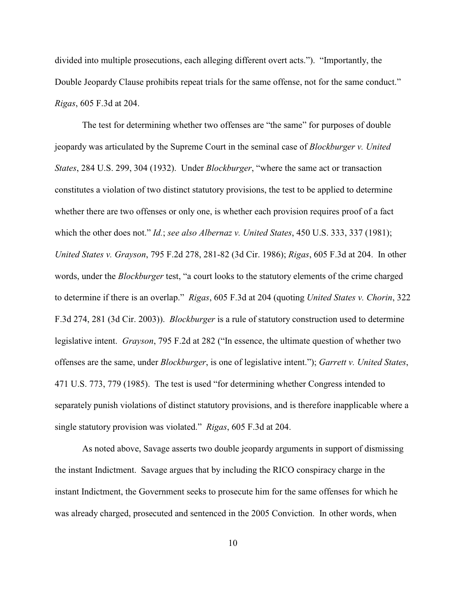divided into multiple prosecutions, each alleging different overt acts."). "Importantly, the Double Jeopardy Clause prohibits repeat trials for the same offense, not for the same conduct." *Rigas*, 605 F.3d at 204.

The test for determining whether two offenses are "the same" for purposes of double jeopardy was articulated by the Supreme Court in the seminal case of *Blockburger v. United States*, 284 U.S. 299, 304 (1932). Under *Blockburger*, "where the same act or transaction constitutes a violation of two distinct statutory provisions, the test to be applied to determine whether there are two offenses or only one, is whether each provision requires proof of a fact which the other does not." *Id.*; *see also Albernaz v. United States*, 450 U.S. 333, 337 (1981); *United States v. Grayson*, 795 F.2d 278, 281-82 (3d Cir. 1986); *Rigas*, 605 F.3d at 204. In other words, under the *Blockburger* test, "a court looks to the statutory elements of the crime charged to determine if there is an overlap." *Rigas*, 605 F.3d at 204 (quoting *United States v. Chorin*, 322 F.3d 274, 281 (3d Cir. 2003)). *Blockburger* is a rule of statutory construction used to determine legislative intent. *Grayson*, 795 F.2d at 282 ("In essence, the ultimate question of whether two offenses are the same, under *Blockburger*, is one of legislative intent."); *Garrett v. United States*, 471 U.S. 773, 779 (1985). The test is used "for determining whether Congress intended to separately punish violations of distinct statutory provisions, and is therefore inapplicable where a single statutory provision was violated." *Rigas*, 605 F.3d at 204.

As noted above, Savage asserts two double jeopardy arguments in support of dismissing the instant Indictment. Savage argues that by including the RICO conspiracy charge in the instant Indictment, the Government seeks to prosecute him for the same offenses for which he was already charged, prosecuted and sentenced in the 2005 Conviction. In other words, when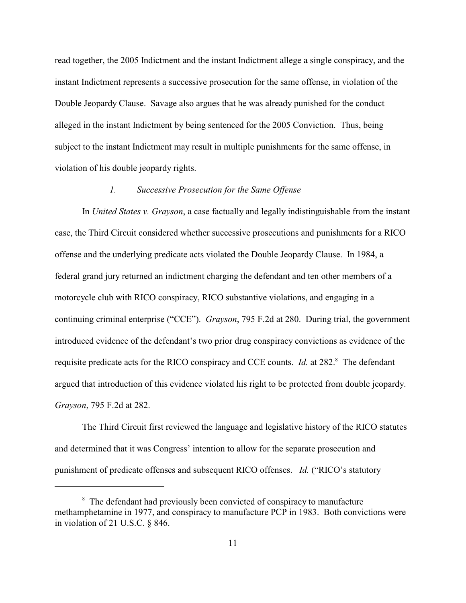read together, the 2005 Indictment and the instant Indictment allege a single conspiracy, and the instant Indictment represents a successive prosecution for the same offense, in violation of the Double Jeopardy Clause. Savage also argues that he was already punished for the conduct alleged in the instant Indictment by being sentenced for the 2005 Conviction. Thus, being subject to the instant Indictment may result in multiple punishments for the same offense, in violation of his double jeopardy rights.

## *1. Successive Prosecution for the Same Offense*

In *United States v. Grayson*, a case factually and legally indistinguishable from the instant case, the Third Circuit considered whether successive prosecutions and punishments for a RICO offense and the underlying predicate acts violated the Double Jeopardy Clause. In 1984, a federal grand jury returned an indictment charging the defendant and ten other members of a motorcycle club with RICO conspiracy, RICO substantive violations, and engaging in a continuing criminal enterprise ("CCE"). *Grayson*, 795 F.2d at 280. During trial, the government introduced evidence of the defendant's two prior drug conspiracy convictions as evidence of the requisite predicate acts for the RICO conspiracy and CCE counts. *Id.* at 282.<sup>8</sup> The defendant argued that introduction of this evidence violated his right to be protected from double jeopardy. *Grayson*, 795 F.2d at 282.

The Third Circuit first reviewed the language and legislative history of the RICO statutes and determined that it was Congress' intention to allow for the separate prosecution and punishment of predicate offenses and subsequent RICO offenses. *Id.* ("RICO's statutory

<sup>&</sup>lt;sup>8</sup> The defendant had previously been convicted of conspiracy to manufacture methamphetamine in 1977, and conspiracy to manufacture PCP in 1983. Both convictions were in violation of 21 U.S.C. § 846.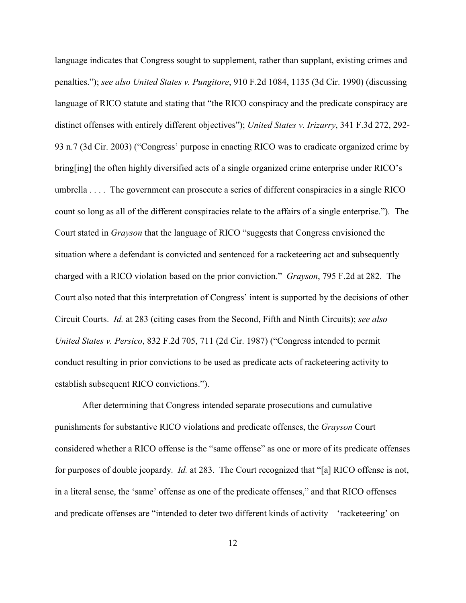language indicates that Congress sought to supplement, rather than supplant, existing crimes and penalties."); *see also United States v. Pungitore*, 910 F.2d 1084, 1135 (3d Cir. 1990) (discussing language of RICO statute and stating that "the RICO conspiracy and the predicate conspiracy are distinct offenses with entirely different objectives"); *United States v. Irizarry*, 341 F.3d 272, 292- 93 n.7 (3d Cir. 2003) ("Congress' purpose in enacting RICO was to eradicate organized crime by bring[ing] the often highly diversified acts of a single organized crime enterprise under RICO's umbrella . . . . The government can prosecute a series of different conspiracies in a single RICO count so long as all of the different conspiracies relate to the affairs of a single enterprise."). The Court stated in *Grayson* that the language of RICO "suggests that Congress envisioned the situation where a defendant is convicted and sentenced for a racketeering act and subsequently charged with a RICO violation based on the prior conviction." *Grayson*, 795 F.2d at 282. The Court also noted that this interpretation of Congress' intent is supported by the decisions of other Circuit Courts. *Id.* at 283 (citing cases from the Second, Fifth and Ninth Circuits); *see also United States v. Persico*, 832 F.2d 705, 711 (2d Cir. 1987) ("Congress intended to permit conduct resulting in prior convictions to be used as predicate acts of racketeering activity to establish subsequent RICO convictions.").

After determining that Congress intended separate prosecutions and cumulative punishments for substantive RICO violations and predicate offenses, the *Grayson* Court considered whether a RICO offense is the "same offense" as one or more of its predicate offenses for purposes of double jeopardy. *Id.* at 283. The Court recognized that "[a] RICO offense is not, in a literal sense, the 'same' offense as one of the predicate offenses," and that RICO offenses and predicate offenses are "intended to deter two different kinds of activity—'racketeering' on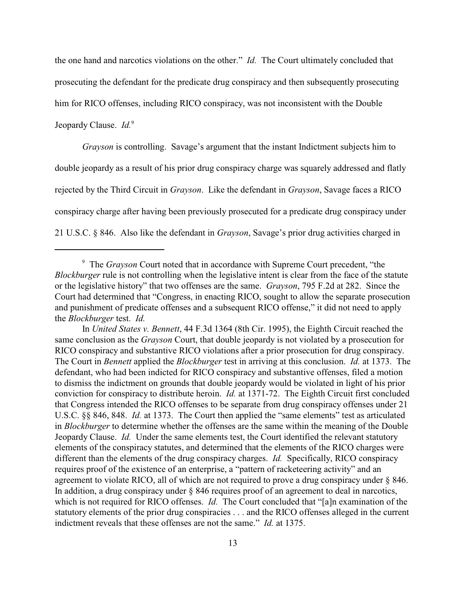the one hand and narcotics violations on the other." *Id.* The Court ultimately concluded that prosecuting the defendant for the predicate drug conspiracy and then subsequently prosecuting him for RICO offenses, including RICO conspiracy, was not inconsistent with the Double Jeopardy Clause. *Id.*<sup>9</sup>

*Grayson* is controlling. Savage's argument that the instant Indictment subjects him to double jeopardy as a result of his prior drug conspiracy charge was squarely addressed and flatly rejected by the Third Circuit in *Grayson*. Like the defendant in *Grayson*, Savage faces a RICO conspiracy charge after having been previously prosecuted for a predicate drug conspiracy under 21 U.S.C. § 846. Also like the defendant in *Grayson*, Savage's prior drug activities charged in

<sup>&</sup>lt;sup>9</sup> The *Grayson* Court noted that in accordance with Supreme Court precedent, "the *Blockburger* rule is not controlling when the legislative intent is clear from the face of the statute or the legislative history" that two offenses are the same. *Grayson*, 795 F.2d at 282. Since the Court had determined that "Congress, in enacting RICO, sought to allow the separate prosecution and punishment of predicate offenses and a subsequent RICO offense," it did not need to apply the *Blockburger* test. *Id.*

In *United States v. Bennett*, 44 F.3d 1364 (8th Cir. 1995), the Eighth Circuit reached the same conclusion as the *Grayson* Court, that double jeopardy is not violated by a prosecution for RICO conspiracy and substantive RICO violations after a prior prosecution for drug conspiracy. The Court in *Bennett* applied the *Blockburger* test in arriving at this conclusion. *Id.* at 1373. The defendant, who had been indicted for RICO conspiracy and substantive offenses, filed a motion to dismiss the indictment on grounds that double jeopardy would be violated in light of his prior conviction for conspiracy to distribute heroin. *Id.* at 1371-72. The Eighth Circuit first concluded that Congress intended the RICO offenses to be separate from drug conspiracy offenses under 21 U.S.C. §§ 846, 848. *Id.* at 1373. The Court then applied the "same elements" test as articulated in *Blockburger* to determine whether the offenses are the same within the meaning of the Double Jeopardy Clause. *Id.* Under the same elements test, the Court identified the relevant statutory elements of the conspiracy statutes, and determined that the elements of the RICO charges were different than the elements of the drug conspiracy charges. *Id.* Specifically, RICO conspiracy requires proof of the existence of an enterprise, a "pattern of racketeering activity" and an agreement to violate RICO, all of which are not required to prove a drug conspiracy under § 846. In addition, a drug conspiracy under § 846 requires proof of an agreement to deal in narcotics, which is not required for RICO offenses. *Id.* The Court concluded that "[a]n examination of the statutory elements of the prior drug conspiracies . . . and the RICO offenses alleged in the current indictment reveals that these offenses are not the same." *Id.* at 1375.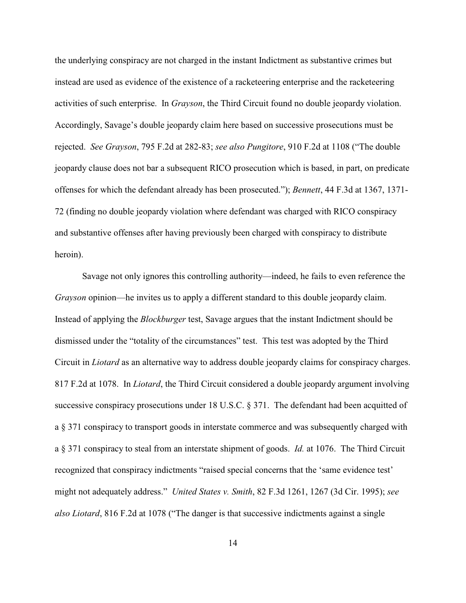the underlying conspiracy are not charged in the instant Indictment as substantive crimes but instead are used as evidence of the existence of a racketeering enterprise and the racketeering activities of such enterprise. In *Grayson*, the Third Circuit found no double jeopardy violation. Accordingly, Savage's double jeopardy claim here based on successive prosecutions must be rejected. *See Grayson*, 795 F.2d at 282-83; *see also Pungitore*, 910 F.2d at 1108 ("The double jeopardy clause does not bar a subsequent RICO prosecution which is based, in part, on predicate offenses for which the defendant already has been prosecuted."); *Bennett*, 44 F.3d at 1367, 1371- 72 (finding no double jeopardy violation where defendant was charged with RICO conspiracy and substantive offenses after having previously been charged with conspiracy to distribute heroin).

Savage not only ignores this controlling authority—indeed, he fails to even reference the *Grayson* opinion—he invites us to apply a different standard to this double jeopardy claim. Instead of applying the *Blockburger* test, Savage argues that the instant Indictment should be dismissed under the "totality of the circumstances" test. This test was adopted by the Third Circuit in *Liotard* as an alternative way to address double jeopardy claims for conspiracy charges. 817 F.2d at 1078. In *Liotard*, the Third Circuit considered a double jeopardy argument involving successive conspiracy prosecutions under 18 U.S.C. § 371. The defendant had been acquitted of a § 371 conspiracy to transport goods in interstate commerce and was subsequently charged with a § 371 conspiracy to steal from an interstate shipment of goods. *Id.* at 1076. The Third Circuit recognized that conspiracy indictments "raised special concerns that the 'same evidence test' might not adequately address." *United States v. Smith*, 82 F.3d 1261, 1267 (3d Cir. 1995); *see also Liotard*, 816 F.2d at 1078 ("The danger is that successive indictments against a single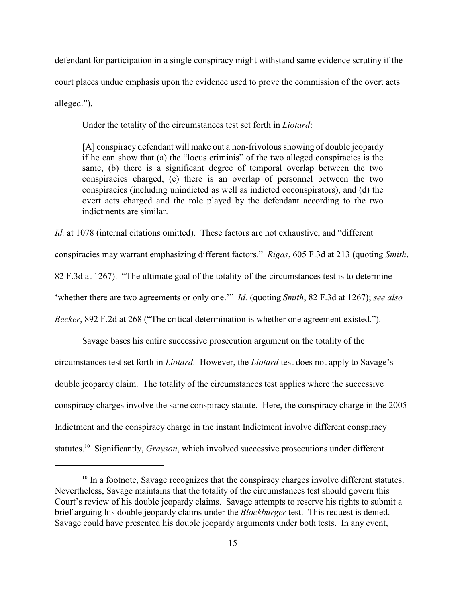defendant for participation in a single conspiracy might withstand same evidence scrutiny if the court places undue emphasis upon the evidence used to prove the commission of the overt acts alleged.").

Under the totality of the circumstances test set forth in *Liotard*:

[A] conspiracy defendant will make out a non-frivolous showing of double jeopardy if he can show that (a) the "locus criminis" of the two alleged conspiracies is the same, (b) there is a significant degree of temporal overlap between the two conspiracies charged, (c) there is an overlap of personnel between the two conspiracies (including unindicted as well as indicted coconspirators), and (d) the overt acts charged and the role played by the defendant according to the two indictments are similar.

*Id.* at 1078 (internal citations omitted). These factors are not exhaustive, and "different conspiracies may warrant emphasizing different factors." *Rigas*, 605 F.3d at 213 (quoting *Smith*, 82 F.3d at 1267). "The ultimate goal of the totality-of-the-circumstances test is to determine 'whether there are two agreements or only one.'" *Id.* (quoting *Smith*, 82 F.3d at 1267); *see also Becker*, 892 F.2d at 268 ("The critical determination is whether one agreement existed.").

Savage bases his entire successive prosecution argument on the totality of the circumstances test set forth in *Liotard*. However, the *Liotard* test does not apply to Savage's double jeopardy claim. The totality of the circumstances test applies where the successive conspiracy charges involve the same conspiracy statute. Here, the conspiracy charge in the 2005 Indictment and the conspiracy charge in the instant Indictment involve different conspiracy statutes.<sup>10</sup> Significantly, *Grayson*, which involved successive prosecutions under different

 $10$  In a footnote, Savage recognizes that the conspiracy charges involve different statutes. Nevertheless, Savage maintains that the totality of the circumstances test should govern this Court's review of his double jeopardy claims. Savage attempts to reserve his rights to submit a brief arguing his double jeopardy claims under the *Blockburger* test. This request is denied. Savage could have presented his double jeopardy arguments under both tests. In any event,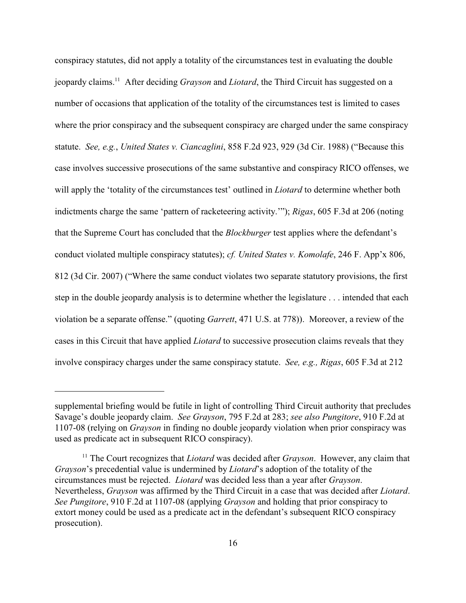conspiracy statutes, did not apply a totality of the circumstances test in evaluating the double jeopardy claims.<sup>11</sup> After deciding *Grayson* and *Liotard*, the Third Circuit has suggested on a number of occasions that application of the totality of the circumstances test is limited to cases where the prior conspiracy and the subsequent conspiracy are charged under the same conspiracy statute. *See, e.g.*, *United States v. Ciancaglini*, 858 F.2d 923, 929 (3d Cir. 1988) ("Because this case involves successive prosecutions of the same substantive and conspiracy RICO offenses, we will apply the 'totality of the circumstances test' outlined in *Liotard* to determine whether both indictments charge the same 'pattern of racketeering activity.'"); *Rigas*, 605 F.3d at 206 (noting that the Supreme Court has concluded that the *Blockburger* test applies where the defendant's conduct violated multiple conspiracy statutes); *cf. United States v. Komolafe*, 246 F. App'x 806, 812 (3d Cir. 2007) ("Where the same conduct violates two separate statutory provisions, the first step in the double jeopardy analysis is to determine whether the legislature . . . intended that each violation be a separate offense." (quoting *Garrett*, 471 U.S. at 778)). Moreover, a review of the cases in this Circuit that have applied *Liotard* to successive prosecution claims reveals that they involve conspiracy charges under the same conspiracy statute. *See, e.g., Rigas*, 605 F.3d at 212

supplemental briefing would be futile in light of controlling Third Circuit authority that precludes Savage's double jeopardy claim. *See Grayson*, 795 F.2d at 283; *see also Pungitore*, 910 F.2d at 1107-08 (relying on *Grayson* in finding no double jeopardy violation when prior conspiracy was used as predicate act in subsequent RICO conspiracy).

<sup>&</sup>lt;sup>11</sup> The Court recognizes that *Liotard* was decided after *Grayson*. However, any claim that *Grayson*'s precedential value is undermined by *Liotard*'s adoption of the totality of the circumstances must be rejected. *Liotard* was decided less than a year after *Grayson*. Nevertheless, *Grayson* was affirmed by the Third Circuit in a case that was decided after *Liotard*. *See Pungitore*, 910 F.2d at 1107-08 (applying *Grayson* and holding that prior conspiracy to extort money could be used as a predicate act in the defendant's subsequent RICO conspiracy prosecution).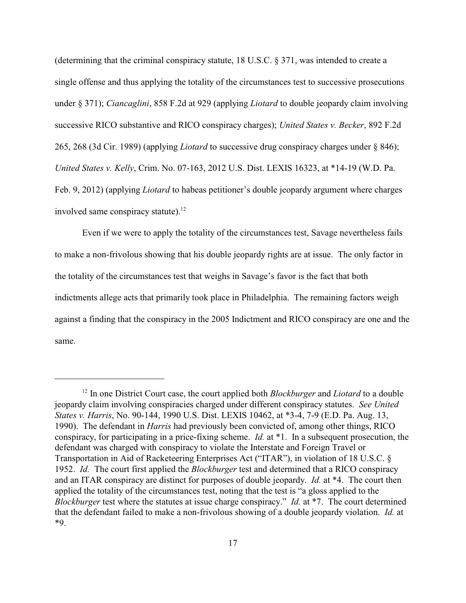(determining that the criminal conspiracy statute, 18 U.S.C. § 371, was intended to create a single offense and thus applying the totality of the circumstances test to successive prosecutions under § 371); *Ciancaglini*, 858 F.2d at 929 (applying *Liotard* to double jeopardy claim involving successive RICO substantive and RICO conspiracy charges); *United States v. Becker*, 892 F.2d 265, 268 (3d Cir. 1989) (applying *Liotard* to successive drug conspiracy charges under § 846); *United States v. Kelly*, Crim. No. 07-163, 2012 U.S. Dist. LEXIS 16323, at \*14-19 (W.D. Pa. Feb. 9, 2012) (applying *Liotard* to habeas petitioner's double jeopardy argument where charges involved same conspiracy statute).<sup>12</sup>

Even if we were to apply the totality of the circumstances test, Savage nevertheless fails to make a non-frivolous showing that his double jeopardy rights are at issue. The only factor in the totality of the circumstances test that weighs in Savage's favor is the fact that both indictments allege acts that primarily took place in Philadelphia. The remaining factors weigh against a finding that the conspiracy in the 2005 Indictment and RICO conspiracy are one and the same.

<sup>&</sup>lt;sup>12</sup> In one District Court case, the court applied both *Blockburger* and *Liotard* to a double jeopardy claim involving conspiracies charged under different conspiracy statutes. *See United States v. Harris*, No. 90-144, 1990 U.S. Dist. LEXIS 10462, at \*3-4, 7-9 (E.D. Pa. Aug. 13, 1990). The defendant in *Harris* had previously been convicted of, among other things, RICO conspiracy, for participating in a price-fixing scheme. *Id.* at \*1. In a subsequent prosecution, the defendant was charged with conspiracy to violate the Interstate and Foreign Travel or Transportation in Aid of Racketeering Enterprises Act ("ITAR"), in violation of 18 U.S.C. § 1952. *Id.* The court first applied the *Blockburger* test and determined that a RICO conspiracy and an ITAR conspiracy are distinct for purposes of double jeopardy. *Id.* at \*4. The court then applied the totality of the circumstances test, noting that the test is "a gloss applied to the *Blockburger* test where the statutes at issue charge conspiracy." *Id.* at \*7. The court determined that the defendant failed to make a non-frivolous showing of a double jeopardy violation. *Id.* at \*9.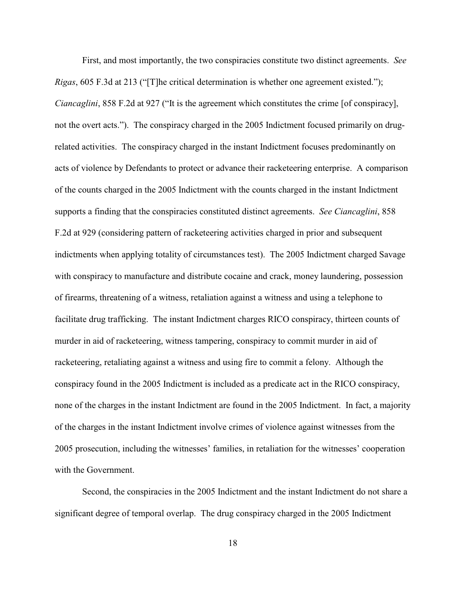First, and most importantly, the two conspiracies constitute two distinct agreements. *See Rigas*, 605 F.3d at 213 ("[T]he critical determination is whether one agreement existed."); *Ciancaglini*, 858 F.2d at 927 ("It is the agreement which constitutes the crime [of conspiracy], not the overt acts."). The conspiracy charged in the 2005 Indictment focused primarily on drugrelated activities. The conspiracy charged in the instant Indictment focuses predominantly on acts of violence by Defendants to protect or advance their racketeering enterprise. A comparison of the counts charged in the 2005 Indictment with the counts charged in the instant Indictment supports a finding that the conspiracies constituted distinct agreements. *See Ciancaglini*, 858 F.2d at 929 (considering pattern of racketeering activities charged in prior and subsequent indictments when applying totality of circumstances test). The 2005 Indictment charged Savage with conspiracy to manufacture and distribute cocaine and crack, money laundering, possession of firearms, threatening of a witness, retaliation against a witness and using a telephone to facilitate drug trafficking. The instant Indictment charges RICO conspiracy, thirteen counts of murder in aid of racketeering, witness tampering, conspiracy to commit murder in aid of racketeering, retaliating against a witness and using fire to commit a felony. Although the conspiracy found in the 2005 Indictment is included as a predicate act in the RICO conspiracy, none of the charges in the instant Indictment are found in the 2005 Indictment. In fact, a majority of the charges in the instant Indictment involve crimes of violence against witnesses from the 2005 prosecution, including the witnesses' families, in retaliation for the witnesses' cooperation with the Government.

Second, the conspiracies in the 2005 Indictment and the instant Indictment do not share a significant degree of temporal overlap. The drug conspiracy charged in the 2005 Indictment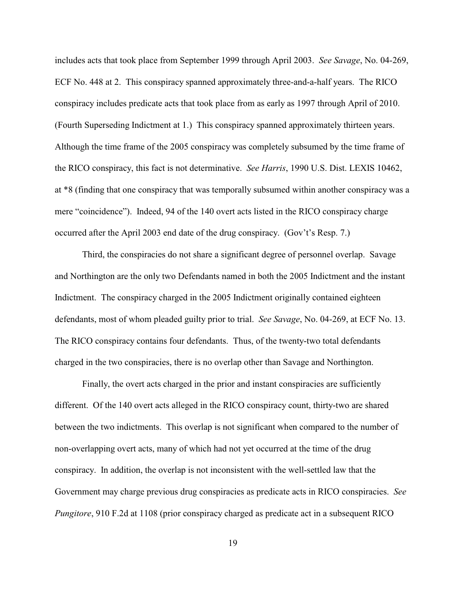includes acts that took place from September 1999 through April 2003. *See Savage*, No. 04-269, ECF No. 448 at 2. This conspiracy spanned approximately three-and-a-half years. The RICO conspiracy includes predicate acts that took place from as early as 1997 through April of 2010. (Fourth Superseding Indictment at 1.) This conspiracy spanned approximately thirteen years. Although the time frame of the 2005 conspiracy was completely subsumed by the time frame of the RICO conspiracy, this fact is not determinative. *See Harris*, 1990 U.S. Dist. LEXIS 10462, at \*8 (finding that one conspiracy that was temporally subsumed within another conspiracy was a mere "coincidence"). Indeed, 94 of the 140 overt acts listed in the RICO conspiracy charge occurred after the April 2003 end date of the drug conspiracy. (Gov't's Resp. 7.)

Third, the conspiracies do not share a significant degree of personnel overlap. Savage and Northington are the only two Defendants named in both the 2005 Indictment and the instant Indictment. The conspiracy charged in the 2005 Indictment originally contained eighteen defendants, most of whom pleaded guilty prior to trial. *See Savage*, No. 04-269, at ECF No. 13. The RICO conspiracy contains four defendants. Thus, of the twenty-two total defendants charged in the two conspiracies, there is no overlap other than Savage and Northington.

Finally, the overt acts charged in the prior and instant conspiracies are sufficiently different. Of the 140 overt acts alleged in the RICO conspiracy count, thirty-two are shared between the two indictments. This overlap is not significant when compared to the number of non-overlapping overt acts, many of which had not yet occurred at the time of the drug conspiracy. In addition, the overlap is not inconsistent with the well-settled law that the Government may charge previous drug conspiracies as predicate acts in RICO conspiracies. *See Pungitore*, 910 F.2d at 1108 (prior conspiracy charged as predicate act in a subsequent RICO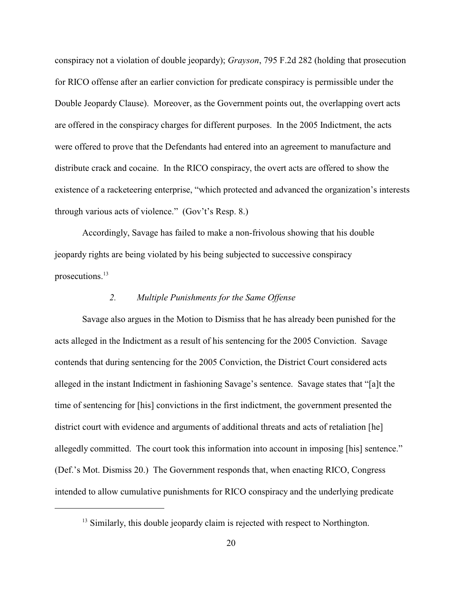conspiracy not a violation of double jeopardy); *Grayson*, 795 F.2d 282 (holding that prosecution for RICO offense after an earlier conviction for predicate conspiracy is permissible under the Double Jeopardy Clause). Moreover, as the Government points out, the overlapping overt acts are offered in the conspiracy charges for different purposes. In the 2005 Indictment, the acts were offered to prove that the Defendants had entered into an agreement to manufacture and distribute crack and cocaine. In the RICO conspiracy, the overt acts are offered to show the existence of a racketeering enterprise, "which protected and advanced the organization's interests through various acts of violence." (Gov't's Resp. 8.)

Accordingly, Savage has failed to make a non-frivolous showing that his double jeopardy rights are being violated by his being subjected to successive conspiracy prosecutions.<sup>13</sup>

# *2. Multiple Punishments for the Same Offense*

Savage also argues in the Motion to Dismiss that he has already been punished for the acts alleged in the Indictment as a result of his sentencing for the 2005 Conviction. Savage contends that during sentencing for the 2005 Conviction, the District Court considered acts alleged in the instant Indictment in fashioning Savage's sentence. Savage states that "[a]t the time of sentencing for [his] convictions in the first indictment, the government presented the district court with evidence and arguments of additional threats and acts of retaliation [he] allegedly committed. The court took this information into account in imposing [his] sentence." (Def.'s Mot. Dismiss 20.) The Government responds that, when enacting RICO, Congress intended to allow cumulative punishments for RICO conspiracy and the underlying predicate

 $<sup>13</sup>$  Similarly, this double jeopardy claim is rejected with respect to Northington.</sup>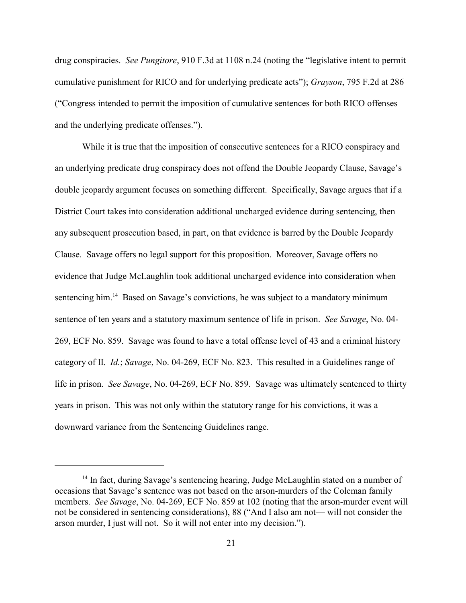drug conspiracies. *See Pungitore*, 910 F.3d at 1108 n.24 (noting the "legislative intent to permit cumulative punishment for RICO and for underlying predicate acts"); *Grayson*, 795 F.2d at 286 ("Congress intended to permit the imposition of cumulative sentences for both RICO offenses and the underlying predicate offenses.").

While it is true that the imposition of consecutive sentences for a RICO conspiracy and an underlying predicate drug conspiracy does not offend the Double Jeopardy Clause, Savage's double jeopardy argument focuses on something different. Specifically, Savage argues that if a District Court takes into consideration additional uncharged evidence during sentencing, then any subsequent prosecution based, in part, on that evidence is barred by the Double Jeopardy Clause. Savage offers no legal support for this proposition. Moreover, Savage offers no evidence that Judge McLaughlin took additional uncharged evidence into consideration when sentencing him.<sup>14</sup> Based on Savage's convictions, he was subject to a mandatory minimum sentence of ten years and a statutory maximum sentence of life in prison. *See Savage*, No. 04- 269, ECF No. 859. Savage was found to have a total offense level of 43 and a criminal history category of II. *Id.*; *Savage*, No. 04-269, ECF No. 823. This resulted in a Guidelines range of life in prison. *See Savage*, No. 04-269, ECF No. 859. Savage was ultimately sentenced to thirty years in prison. This was not only within the statutory range for his convictions, it was a downward variance from the Sentencing Guidelines range.

 $14$  In fact, during Savage's sentencing hearing, Judge McLaughlin stated on a number of occasions that Savage's sentence was not based on the arson-murders of the Coleman family members. *See Savage*, No. 04-269, ECF No. 859 at 102 (noting that the arson-murder event will not be considered in sentencing considerations), 88 ("And I also am not— will not consider the arson murder, I just will not. So it will not enter into my decision.").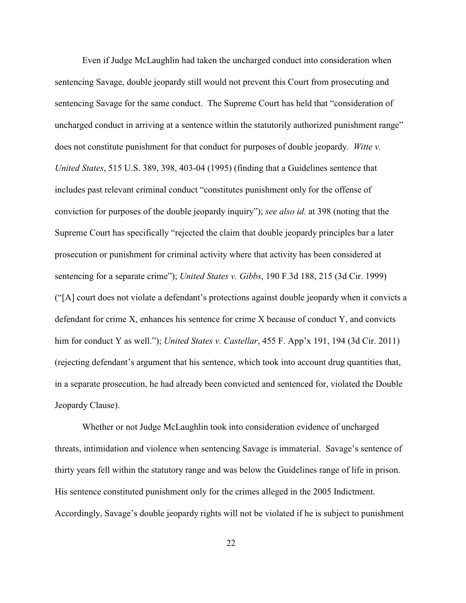Even if Judge McLaughlin had taken the uncharged conduct into consideration when sentencing Savage, double jeopardy still would not prevent this Court from prosecuting and sentencing Savage for the same conduct. The Supreme Court has held that "consideration of uncharged conduct in arriving at a sentence within the statutorily authorized punishment range" does not constitute punishment for that conduct for purposes of double jeopardy. *Witte v. United States*, 515 U.S. 389, 398, 403-04 (1995) (finding that a Guidelines sentence that includes past relevant criminal conduct "constitutes punishment only for the offense of conviction for purposes of the double jeopardy inquiry"); *see also id.* at 398 (noting that the Supreme Court has specifically "rejected the claim that double jeopardy principles bar a later prosecution or punishment for criminal activity where that activity has been considered at sentencing for a separate crime"); *United States v. Gibbs*, 190 F.3d 188, 215 (3d Cir. 1999) ("[A] court does not violate a defendant's protections against double jeopardy when it convicts a defendant for crime X, enhances his sentence for crime X because of conduct Y, and convicts him for conduct Y as well."); *United States v. Castellar*, 455 F. App'x 191, 194 (3d Cir. 2011) (rejecting defendant's argument that his sentence, which took into account drug quantities that, in a separate prosecution, he had already been convicted and sentenced for, violated the Double Jeopardy Clause).

Whether or not Judge McLaughlin took into consideration evidence of uncharged threats, intimidation and violence when sentencing Savage is immaterial. Savage's sentence of thirty years fell within the statutory range and was below the Guidelines range of life in prison. His sentence constituted punishment only for the crimes alleged in the 2005 Indictment. Accordingly, Savage's double jeopardy rights will not be violated if he is subject to punishment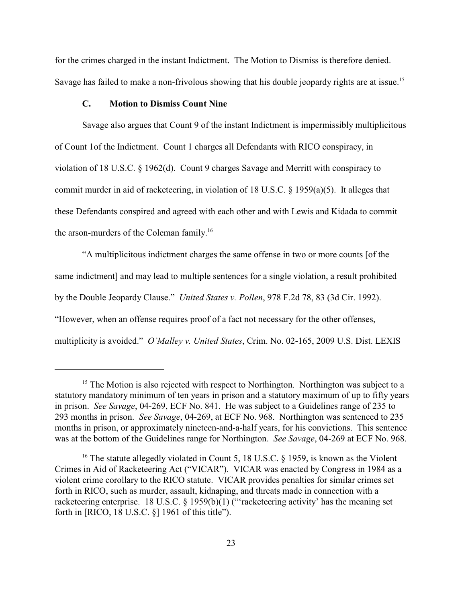for the crimes charged in the instant Indictment. The Motion to Dismiss is therefore denied. Savage has failed to make a non-frivolous showing that his double jeopardy rights are at issue.<sup>15</sup>

## **C. Motion to Dismiss Count Nine**

Savage also argues that Count 9 of the instant Indictment is impermissibly multiplicitous of Count 1of the Indictment. Count 1 charges all Defendants with RICO conspiracy, in violation of 18 U.S.C. § 1962(d). Count 9 charges Savage and Merritt with conspiracy to commit murder in aid of racketeering, in violation of 18 U.S.C. § 1959(a)(5). It alleges that these Defendants conspired and agreed with each other and with Lewis and Kidada to commit the arson-murders of the Coleman family.<sup>16</sup>

"A multiplicitous indictment charges the same offense in two or more counts [of the same indictment] and may lead to multiple sentences for a single violation, a result prohibited by the Double Jeopardy Clause." *United States v. Pollen*, 978 F.2d 78, 83 (3d Cir. 1992). "However, when an offense requires proof of a fact not necessary for the other offenses, multiplicity is avoided." *O'Malley v. United States*, Crim. No. 02-165, 2009 U.S. Dist. LEXIS

 $15$  The Motion is also rejected with respect to Northington. Northington was subject to a statutory mandatory minimum of ten years in prison and a statutory maximum of up to fifty years in prison. *See Savage*, 04-269, ECF No. 841. He was subject to a Guidelines range of 235 to 293 months in prison. *See Savage*, 04-269, at ECF No. 968. Northington was sentenced to 235 months in prison, or approximately nineteen-and-a-half years, for his convictions. This sentence was at the bottom of the Guidelines range for Northington. *See Savage*, 04-269 at ECF No. 968.

<sup>&</sup>lt;sup>16</sup> The statute allegedly violated in Count 5, 18 U.S.C. § 1959, is known as the Violent Crimes in Aid of Racketeering Act ("VICAR"). VICAR was enacted by Congress in 1984 as a violent crime corollary to the RICO statute. VICAR provides penalties for similar crimes set forth in RICO, such as murder, assault, kidnaping, and threats made in connection with a racketeering enterprise. 18 U.S.C. § 1959(b)(1) ("racketeering activity' has the meaning set forth in [RICO, 18 U.S.C. §] 1961 of this title").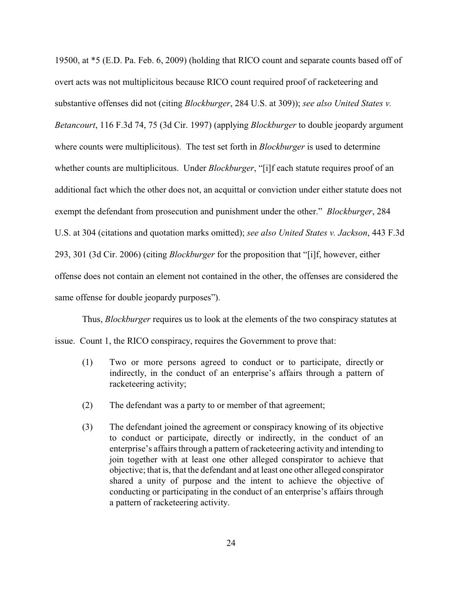19500, at \*5 (E.D. Pa. Feb. 6, 2009) (holding that RICO count and separate counts based off of overt acts was not multiplicitous because RICO count required proof of racketeering and substantive offenses did not (citing *Blockburger*, 284 U.S. at 309)); *see also United States v. Betancourt*, 116 F.3d 74, 75 (3d Cir. 1997) (applying *Blockburger* to double jeopardy argument where counts were multiplicitous). The test set forth in *Blockburger* is used to determine whether counts are multiplicitous. Under *Blockburger*, "[i]f each statute requires proof of an additional fact which the other does not, an acquittal or conviction under either statute does not exempt the defendant from prosecution and punishment under the other." *Blockburger*, 284 U.S. at 304 (citations and quotation marks omitted); *see also United States v. Jackson*, 443 F.3d 293, 301 (3d Cir. 2006) (citing *Blockburger* for the proposition that "[i]f, however, either offense does not contain an element not contained in the other, the offenses are considered the same offense for double jeopardy purposes").

Thus, *Blockburger* requires us to look at the elements of the two conspiracy statutes at issue. Count 1, the RICO conspiracy, requires the Government to prove that:

- (1) Two or more persons agreed to conduct or to participate, directly or indirectly, in the conduct of an enterprise's affairs through a pattern of racketeering activity;
- (2) The defendant was a party to or member of that agreement;
- (3) The defendant joined the agreement or conspiracy knowing of its objective to conduct or participate, directly or indirectly, in the conduct of an enterprise's affairs through a pattern of racketeering activity and intending to join together with at least one other alleged conspirator to achieve that objective; that is, that the defendant and at least one other alleged conspirator shared a unity of purpose and the intent to achieve the objective of conducting or participating in the conduct of an enterprise's affairs through a pattern of racketeering activity.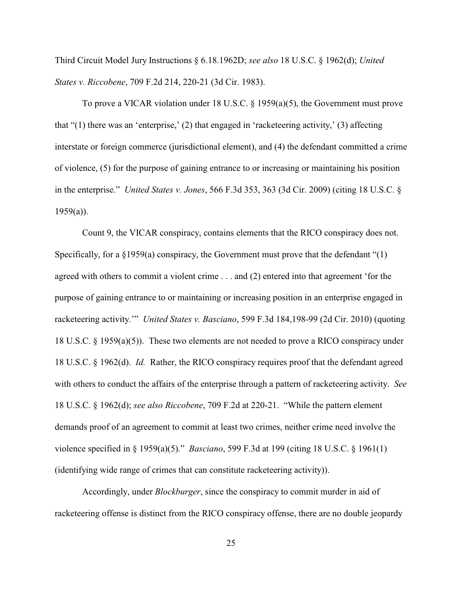Third Circuit Model Jury Instructions § 6.18.1962D; *see also* 18 U.S.C. § 1962(d); *United States v. Riccobene*, 709 F.2d 214, 220-21 (3d Cir. 1983).

To prove a VICAR violation under 18 U.S.C. § 1959(a)(5), the Government must prove that "(1) there was an 'enterprise,' (2) that engaged in 'racketeering activity,' (3) affecting interstate or foreign commerce (jurisdictional element), and (4) the defendant committed a crime of violence, (5) for the purpose of gaining entrance to or increasing or maintaining his position in the enterprise." *United States v. Jones*, 566 F.3d 353, 363 (3d Cir. 2009) (citing 18 U.S.C. §  $1959(a)$ ).

Count 9, the VICAR conspiracy, contains elements that the RICO conspiracy does not. Specifically, for a §1959(a) conspiracy, the Government must prove that the defendant "(1) agreed with others to commit a violent crime . . . and (2) entered into that agreement 'for the purpose of gaining entrance to or maintaining or increasing position in an enterprise engaged in racketeering activity.'" *United States v. Basciano*, 599 F.3d 184,198-99 (2d Cir. 2010) (quoting 18 U.S.C. § 1959(a)(5)). These two elements are not needed to prove a RICO conspiracy under 18 U.S.C. § 1962(d). *Id.* Rather, the RICO conspiracy requires proof that the defendant agreed with others to conduct the affairs of the enterprise through a pattern of racketeering activity. *See* 18 U.S.C. § 1962(d); *see also Riccobene*, 709 F.2d at 220-21. "While the pattern element demands proof of an agreement to commit at least two crimes, neither crime need involve the violence specified in § 1959(a)(5)." *Basciano*, 599 F.3d at 199 (citing 18 U.S.C. § 1961(1) (identifying wide range of crimes that can constitute racketeering activity)).

Accordingly, under *Blockburger*, since the conspiracy to commit murder in aid of racketeering offense is distinct from the RICO conspiracy offense, there are no double jeopardy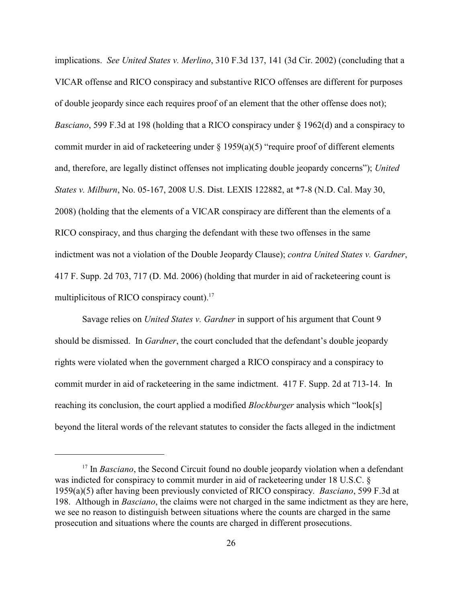implications. *See United States v. Merlino*, 310 F.3d 137, 141 (3d Cir. 2002) (concluding that a VICAR offense and RICO conspiracy and substantive RICO offenses are different for purposes of double jeopardy since each requires proof of an element that the other offense does not); *Basciano*, 599 F.3d at 198 (holding that a RICO conspiracy under § 1962(d) and a conspiracy to commit murder in aid of racketeering under  $\S$  1959(a)(5) "require proof of different elements and, therefore, are legally distinct offenses not implicating double jeopardy concerns"); *United States v. Milburn*, No. 05-167, 2008 U.S. Dist. LEXIS 122882, at \*7-8 (N.D. Cal. May 30, 2008) (holding that the elements of a VICAR conspiracy are different than the elements of a RICO conspiracy, and thus charging the defendant with these two offenses in the same indictment was not a violation of the Double Jeopardy Clause); *contra United States v. Gardner*, 417 F. Supp. 2d 703, 717 (D. Md. 2006) (holding that murder in aid of racketeering count is multiplicitous of RICO conspiracy count).<sup>17</sup>

Savage relies on *United States v. Gardner* in support of his argument that Count 9 should be dismissed. In *Gardner*, the court concluded that the defendant's double jeopardy rights were violated when the government charged a RICO conspiracy and a conspiracy to commit murder in aid of racketeering in the same indictment. 417 F. Supp. 2d at 713-14. In reaching its conclusion, the court applied a modified *Blockburger* analysis which "look[s] beyond the literal words of the relevant statutes to consider the facts alleged in the indictment

 $17$  In *Basciano*, the Second Circuit found no double jeopardy violation when a defendant was indicted for conspiracy to commit murder in aid of racketeering under 18 U.S.C. § 1959(a)(5) after having been previously convicted of RICO conspiracy. *Basciano*, 599 F.3d at 198. Although in *Basciano*, the claims were not charged in the same indictment as they are here, we see no reason to distinguish between situations where the counts are charged in the same prosecution and situations where the counts are charged in different prosecutions.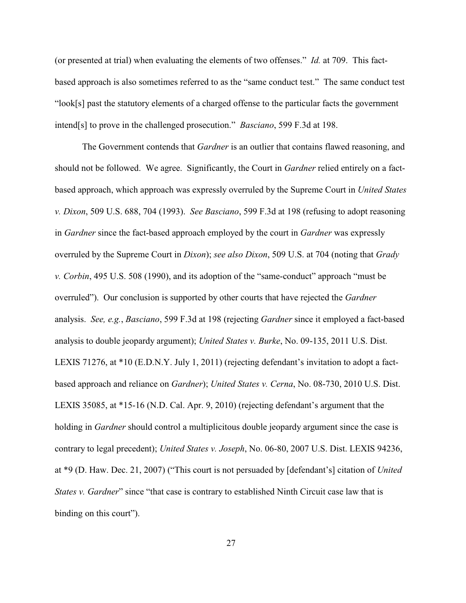(or presented at trial) when evaluating the elements of two offenses." *Id.* at 709. This factbased approach is also sometimes referred to as the "same conduct test." The same conduct test "look[s] past the statutory elements of a charged offense to the particular facts the government intend[s] to prove in the challenged prosecution." *Basciano*, 599 F.3d at 198.

The Government contends that *Gardner* is an outlier that contains flawed reasoning, and should not be followed. We agree. Significantly, the Court in *Gardner* relied entirely on a factbased approach, which approach was expressly overruled by the Supreme Court in *United States v. Dixon*, 509 U.S. 688, 704 (1993). *See Basciano*, 599 F.3d at 198 (refusing to adopt reasoning in *Gardner* since the fact-based approach employed by the court in *Gardner* was expressly overruled by the Supreme Court in *Dixon*); *see also Dixon*, 509 U.S. at 704 (noting that *Grady v. Corbin*, 495 U.S. 508 (1990), and its adoption of the "same-conduct" approach "must be overruled"). Our conclusion is supported by other courts that have rejected the *Gardner* analysis. *See, e.g.*, *Basciano*, 599 F.3d at 198 (rejecting *Gardner* since it employed a fact-based analysis to double jeopardy argument); *United States v. Burke*, No. 09-135, 2011 U.S. Dist. LEXIS 71276, at \*10 (E.D.N.Y. July 1, 2011) (rejecting defendant's invitation to adopt a factbased approach and reliance on *Gardner*); *United States v. Cerna*, No. 08-730, 2010 U.S. Dist. LEXIS 35085, at \*15-16 (N.D. Cal. Apr. 9, 2010) (rejecting defendant's argument that the holding in *Gardner* should control a multiplicitous double jeopardy argument since the case is contrary to legal precedent); *United States v. Joseph*, No. 06-80, 2007 U.S. Dist. LEXIS 94236, at \*9 (D. Haw. Dec. 21, 2007) ("This court is not persuaded by [defendant's] citation of *United States v. Gardner*" since "that case is contrary to established Ninth Circuit case law that is binding on this court").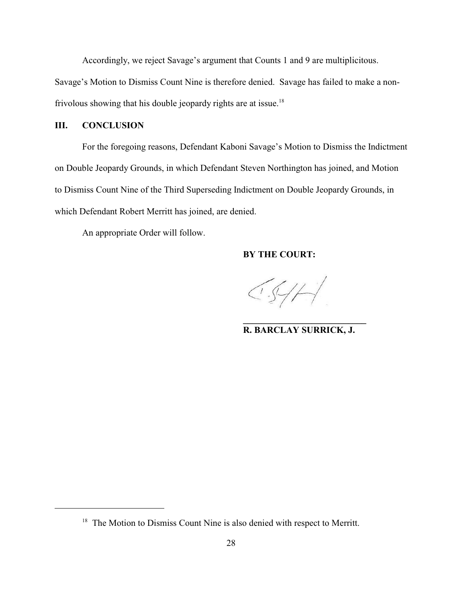Accordingly, we reject Savage's argument that Counts 1 and 9 are multiplicitous.

Savage's Motion to Dismiss Count Nine is therefore denied. Savage has failed to make a nonfrivolous showing that his double jeopardy rights are at issue.<sup>18</sup>

# **III. CONCLUSION**

For the foregoing reasons, Defendant Kaboni Savage's Motion to Dismiss the Indictment on Double Jeopardy Grounds, in which Defendant Steven Northington has joined, and Motion to Dismiss Count Nine of the Third Superseding Indictment on Double Jeopardy Grounds, in which Defendant Robert Merritt has joined, are denied.

An appropriate Order will follow.

# **BY THE COURT:**

 $CS/H$ 

**\_\_\_\_\_\_\_\_\_\_\_\_\_\_\_\_\_\_\_\_\_\_\_\_\_\_\_ R. BARCLAY SURRICK, J.**

 $18$  The Motion to Dismiss Count Nine is also denied with respect to Merritt.